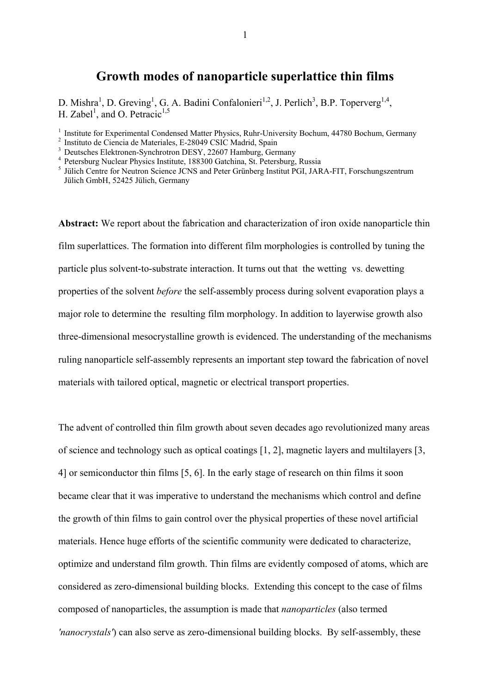## **Growth modes of nanoparticle superlattice thin films**

D. Mishra<sup>1</sup>, D. Greving<sup>1</sup>, G. A. Badini Confalonieri<sup>1,2</sup>, J. Perlich<sup>3</sup>, B.P. Toperverg<sup>1,4</sup>, H. Zabel<sup>1</sup>, and O. Petracic<sup>1,5</sup>

<sup>1</sup> Institute for Experimental Condensed Matter Physics, Ruhr-University Bochum, 44780 Bochum, Germany

**Abstract:** We report about the fabrication and characterization of iron oxide nanoparticle thin film superlattices. The formation into different film morphologies is controlled by tuning the particle plus solvent-to-substrate interaction. It turns out that the wetting vs. dewetting properties of the solvent *before* the self-assembly process during solvent evaporation plays a major role to determine the resulting film morphology. In addition to layerwise growth also three-dimensional mesocrystalline growth is evidenced. The understanding of the mechanisms ruling nanoparticle self-assembly represents an important step toward the fabrication of novel materials with tailored optical, magnetic or electrical transport properties.

The advent of controlled thin film growth about seven decades ago revolutionized many areas of science and technology such as optical coatings [1, 2], magnetic layers and multilayers [3, 4] or semiconductor thin films [5, 6]. In the early stage of research on thin films it soon became clear that it was imperative to understand the mechanisms which control and define the growth of thin films to gain control over the physical properties of these novel artificial materials. Hence huge efforts of the scientific community were dedicated to characterize, optimize and understand film growth. Thin films are evidently composed of atoms, which are considered as zero-dimensional building blocks. Extending this concept to the case of films composed of nanoparticles, the assumption is made that *nanoparticles* (also termed *'nanocrystals'*) can also serve as zero-dimensional building blocks. By self-assembly, these

<sup>&</sup>lt;sup>2</sup> Instituto de Ciencia de Materiales, E-28049 CSIC Madrid, Spain

<sup>&</sup>lt;sup>3</sup> Deutsches Elektronen-Synchrotron DESY, 22607 Hamburg, Germany

<sup>4</sup>Petersburg Nuclear Physics Institute, 188300 Gatchina, St. Petersburg, Russia

<sup>&</sup>lt;sup>5</sup> Jülich Centre for Neutron Science JCNS and Peter Grünberg Institut PGI, JARA-FIT, Forschungszentrum Jülich GmbH, 52425 Jülich, Germany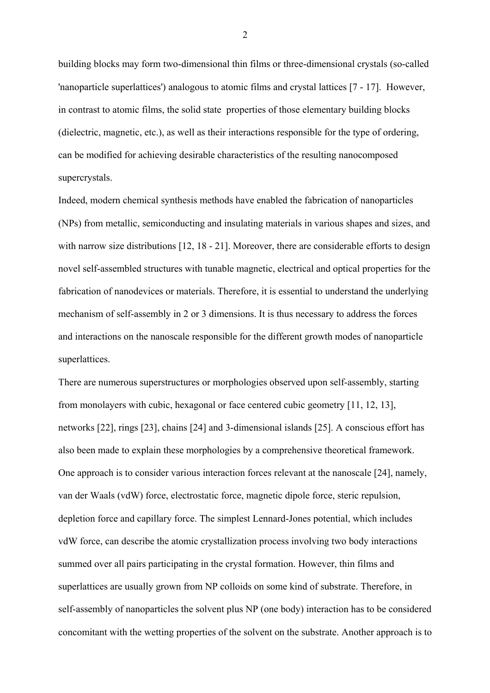building blocks may form two-dimensional thin films or three-dimensional crystals (so-called 'nanoparticle superlattices') analogous to atomic films and crystal lattices [7 - 17]. However, in contrast to atomic films, the solid state properties of those elementary building blocks (dielectric, magnetic, etc.), as well as their interactions responsible for the type of ordering, can be modified for achieving desirable characteristics of the resulting nanocomposed supercrystals.

Indeed, modern chemical synthesis methods have enabled the fabrication of nanoparticles (NPs) from metallic, semiconducting and insulating materials in various shapes and sizes, and with narrow size distributions [12, 18 - 21]. Moreover, there are considerable efforts to design novel self-assembled structures with tunable magnetic, electrical and optical properties for the fabrication of nanodevices or materials. Therefore, it is essential to understand the underlying mechanism of self-assembly in 2 or 3 dimensions. It is thus necessary to address the forces and interactions on the nanoscale responsible for the different growth modes of nanoparticle superlattices.

There are numerous superstructures or morphologies observed upon self-assembly, starting from monolayers with cubic, hexagonal or face centered cubic geometry [11, 12, 13], networks [22], rings [23], chains [24] and 3-dimensional islands [25]. A conscious effort has also been made to explain these morphologies by a comprehensive theoretical framework. One approach is to consider various interaction forces relevant at the nanoscale [24], namely, van der Waals (vdW) force, electrostatic force, magnetic dipole force, steric repulsion, depletion force and capillary force. The simplest Lennard-Jones potential, which includes vdW force, can describe the atomic crystallization process involving two body interactions summed over all pairs participating in the crystal formation. However, thin films and superlattices are usually grown from NP colloids on some kind of substrate. Therefore, in self-assembly of nanoparticles the solvent plus NP (one body) interaction has to be considered concomitant with the wetting properties of the solvent on the substrate. Another approach is to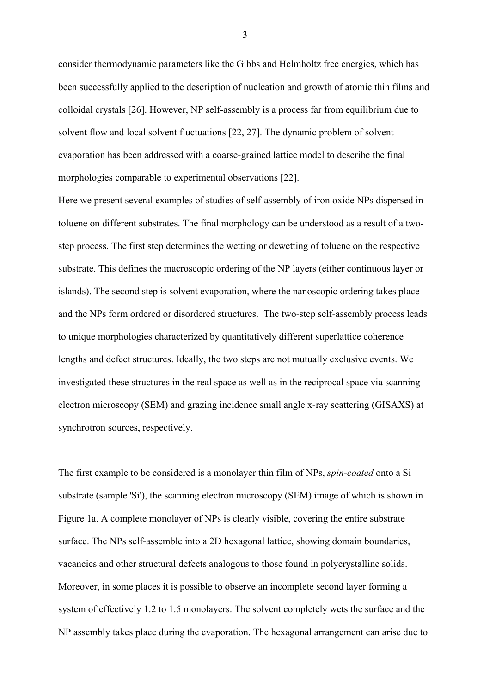consider thermodynamic parameters like the Gibbs and Helmholtz free energies, which has been successfully applied to the description of nucleation and growth of atomic thin films and colloidal crystals [26]. However, NP self-assembly is a process far from equilibrium due to solvent flow and local solvent fluctuations [22, 27]. The dynamic problem of solvent evaporation has been addressed with a coarse-grained lattice model to describe the final morphologies comparable to experimental observations [22].

Here we present several examples of studies of self-assembly of iron oxide NPs dispersed in toluene on different substrates. The final morphology can be understood as a result of a twostep process. The first step determines the wetting or dewetting of toluene on the respective substrate. This defines the macroscopic ordering of the NP layers (either continuous layer or islands). The second step is solvent evaporation, where the nanoscopic ordering takes place and the NPs form ordered or disordered structures. The two-step self-assembly process leads to unique morphologies characterized by quantitatively different superlattice coherence lengths and defect structures. Ideally, the two steps are not mutually exclusive events. We investigated these structures in the real space as well as in the reciprocal space via scanning electron microscopy (SEM) and grazing incidence small angle x-ray scattering (GISAXS) at synchrotron sources, respectively.

The first example to be considered is a monolayer thin film of NPs, *spin-coated* onto a Si substrate (sample 'Si'), the scanning electron microscopy (SEM) image of which is shown in Figure 1a. A complete monolayer of NPs is clearly visible, covering the entire substrate surface. The NPs self-assemble into a 2D hexagonal lattice, showing domain boundaries, vacancies and other structural defects analogous to those found in polycrystalline solids. Moreover, in some places it is possible to observe an incomplete second layer forming a system of effectively 1.2 to 1.5 monolayers. The solvent completely wets the surface and the NP assembly takes place during the evaporation. The hexagonal arrangement can arise due to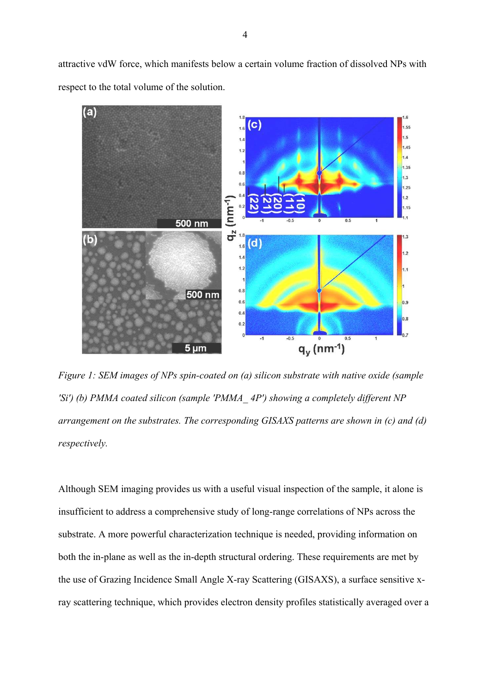attractive vdW force, which manifests below a certain volume fraction of dissolved NPs with respect to the total volume of the solution.



*Figure 1: SEM images of NPs spin-coated on (a) silicon substrate with native oxide (sample 'Si') (b) PMMA coated silicon (sample 'PMMA\_ 4P') showing a completely different NP arrangement on the substrates. The corresponding GISAXS patterns are shown in (c) and (d) respectively.* 

Although SEM imaging provides us with a useful visual inspection of the sample, it alone is insufficient to address a comprehensive study of long-range correlations of NPs across the substrate. A more powerful characterization technique is needed, providing information on both the in-plane as well as the in-depth structural ordering. These requirements are met by the use of Grazing Incidence Small Angle X-ray Scattering (GISAXS), a surface sensitive xray scattering technique, which provides electron density profiles statistically averaged over a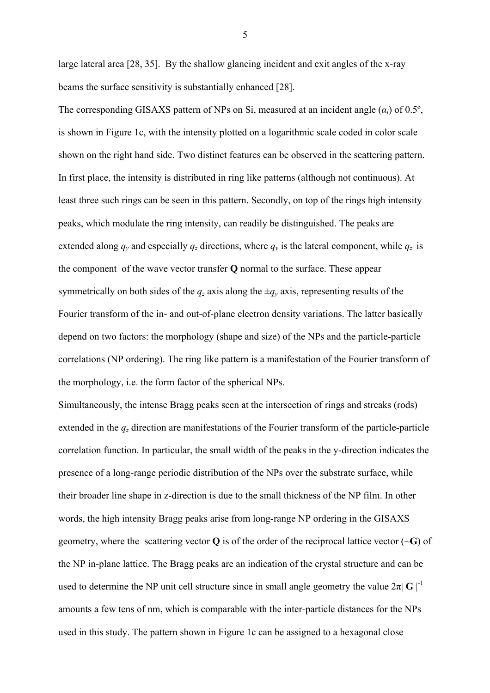large lateral area [28, 35]. By the shallow glancing incident and exit angles of the x-ray beams the surface sensitivity is substantially enhanced [28].

The corresponding GISAXS pattern of NPs on Si, measured at an incident angle  $(\alpha_i)$  of 0.5°, is shown in Figure 1c, with the intensity plotted on a logarithmic scale coded in color scale shown on the right hand side. Two distinct features can be observed in the scattering pattern. In first place, the intensity is distributed in ring like patterns (although not continuous). At least three such rings can be seen in this pattern. Secondly, on top of the rings high intensity peaks, which modulate the ring intensity, can readily be distinguished. The peaks are extended along  $q_y$  and especially  $q_z$  directions, where  $q_y$  is the lateral component, while  $q_z$  is the component of the wave vector transfer **Q** normal to the surface. These appear symmetrically on both sides of the  $q_z$  axis along the  $\pm q_y$  axis, representing results of the Fourier transform of the in- and out-of-plane electron density variations. The latter basically depend on two factors: the morphology (shape and size) of the NPs and the particle-particle correlations (NP ordering). The ring like pattern is a manifestation of the Fourier transform of the morphology, i.e. the form factor of the spherical NPs.

Simultaneously, the intense Bragg peaks seen at the intersection of rings and streaks (rods) extended in the *qz* direction are manifestations of the Fourier transform of the particle-particle correlation function. In particular, the small width of the peaks in the y-direction indicates the presence of a long-range periodic distribution of the NPs over the substrate surface, while their broader line shape in z-direction is due to the small thickness of the NP film. In other words, the high intensity Bragg peaks arise from long-range NP ordering in the GISAXS geometry, where the scattering vector  $Q$  is of the order of the reciprocal lattice vector  $(\sim G)$  of the NP in-plane lattice. The Bragg peaks are an indication of the crystal structure and can be used to determine the NP unit cell structure since in small angle geometry the value  $2\pi |\mathbf{G}|^{-1}$ amounts a few tens of nm, which is comparable with the inter-particle distances for the NPs used in this study. The pattern shown in Figure 1c can be assigned to a hexagonal close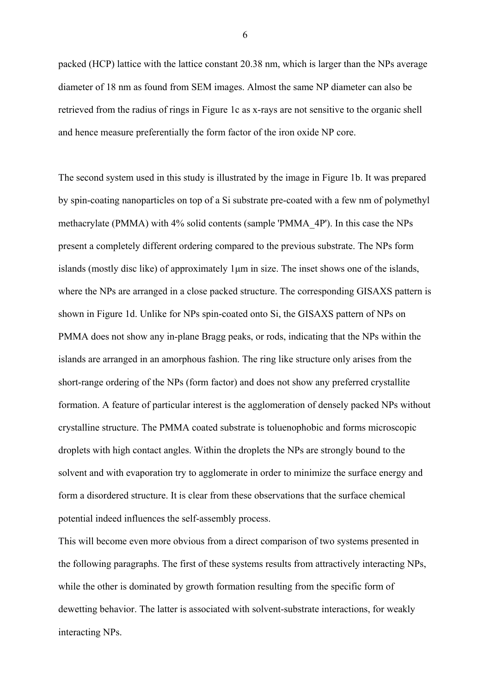packed (HCP) lattice with the lattice constant 20.38 nm, which is larger than the NPs average diameter of 18 nm as found from SEM images. Almost the same NP diameter can also be retrieved from the radius of rings in Figure 1c as x-rays are not sensitive to the organic shell and hence measure preferentially the form factor of the iron oxide NP core.

The second system used in this study is illustrated by the image in Figure 1b. It was prepared by spin-coating nanoparticles on top of a Si substrate pre-coated with a few nm of polymethyl methacrylate (PMMA) with 4% solid contents (sample 'PMMA\_4P'). In this case the NPs present a completely different ordering compared to the previous substrate. The NPs form islands (mostly disc like) of approximately 1μm in size. The inset shows one of the islands, where the NPs are arranged in a close packed structure. The corresponding GISAXS pattern is shown in Figure 1d. Unlike for NPs spin-coated onto Si, the GISAXS pattern of NPs on PMMA does not show any in-plane Bragg peaks, or rods, indicating that the NPs within the islands are arranged in an amorphous fashion. The ring like structure only arises from the short-range ordering of the NPs (form factor) and does not show any preferred crystallite formation. A feature of particular interest is the agglomeration of densely packed NPs without crystalline structure. The PMMA coated substrate is toluenophobic and forms microscopic droplets with high contact angles. Within the droplets the NPs are strongly bound to the solvent and with evaporation try to agglomerate in order to minimize the surface energy and form a disordered structure. It is clear from these observations that the surface chemical potential indeed influences the self-assembly process.

This will become even more obvious from a direct comparison of two systems presented in the following paragraphs. The first of these systems results from attractively interacting NPs, while the other is dominated by growth formation resulting from the specific form of dewetting behavior. The latter is associated with solvent-substrate interactions, for weakly interacting NPs.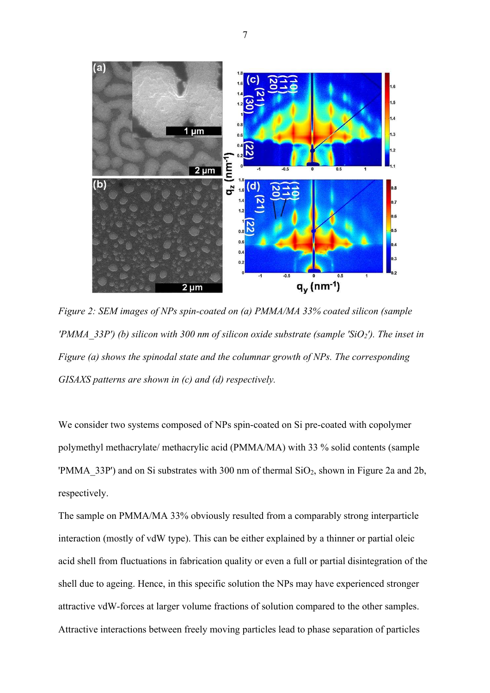

*Figure 2: SEM images of NPs spin-coated on (a) PMMA/MA 33% coated silicon (sample 'PMMA\_33P') (b) silicon with 300 nm of silicon oxide substrate (sample 'SiO2'). The inset in Figure (a) shows the spinodal state and the columnar growth of NPs. The corresponding GISAXS patterns are shown in (c) and (d) respectively.* 

We consider two systems composed of NPs spin-coated on Si pre-coated with copolymer polymethyl methacrylate/ methacrylic acid (PMMA/MA) with 33 % solid contents (sample 'PMMA\_33P') and on Si substrates with 300 nm of thermal SiO2, shown in Figure 2a and 2b, respectively.

The sample on PMMA/MA 33% obviously resulted from a comparably strong interparticle interaction (mostly of vdW type). This can be either explained by a thinner or partial oleic acid shell from fluctuations in fabrication quality or even a full or partial disintegration of the shell due to ageing. Hence, in this specific solution the NPs may have experienced stronger attractive vdW-forces at larger volume fractions of solution compared to the other samples. Attractive interactions between freely moving particles lead to phase separation of particles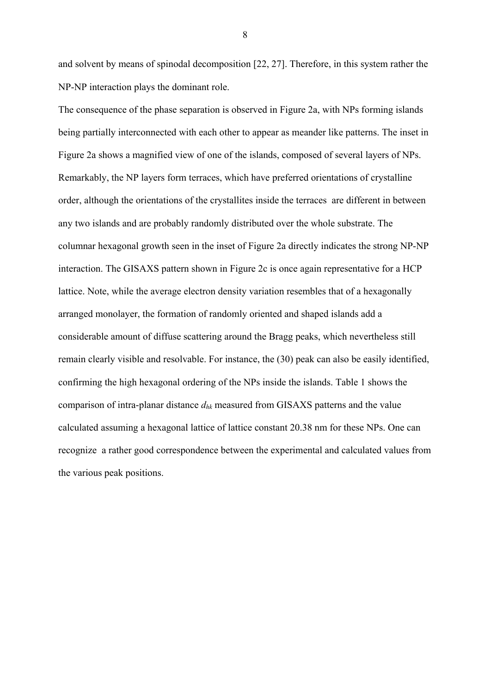and solvent by means of spinodal decomposition [22, 27]. Therefore, in this system rather the NP-NP interaction plays the dominant role.

The consequence of the phase separation is observed in Figure 2a, with NPs forming islands being partially interconnected with each other to appear as meander like patterns. The inset in Figure 2a shows a magnified view of one of the islands, composed of several layers of NPs. Remarkably, the NP layers form terraces, which have preferred orientations of crystalline order, although the orientations of the crystallites inside the terraces are different in between any two islands and are probably randomly distributed over the whole substrate. The columnar hexagonal growth seen in the inset of Figure 2a directly indicates the strong NP-NP interaction. The GISAXS pattern shown in Figure 2c is once again representative for a HCP lattice. Note, while the average electron density variation resembles that of a hexagonally arranged monolayer, the formation of randomly oriented and shaped islands add a considerable amount of diffuse scattering around the Bragg peaks, which nevertheless still remain clearly visible and resolvable. For instance, the (30) peak can also be easily identified, confirming the high hexagonal ordering of the NPs inside the islands. Table 1 shows the comparison of intra-planar distance *dhk* measured from GISAXS patterns and the value calculated assuming a hexagonal lattice of lattice constant 20.38 nm for these NPs. One can recognize a rather good correspondence between the experimental and calculated values from the various peak positions.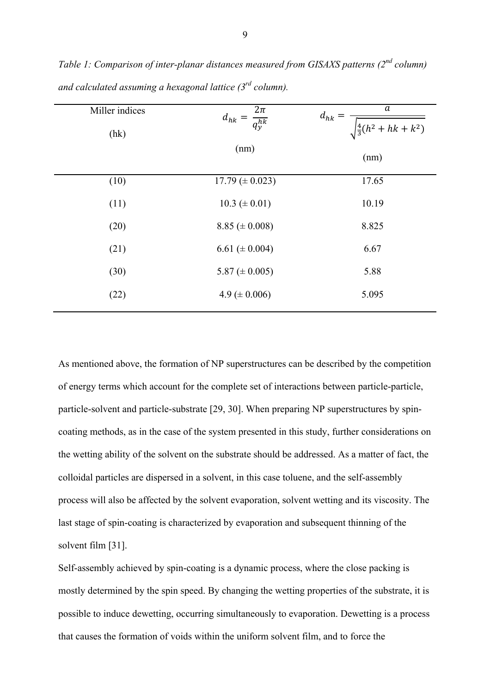| Miller indices<br>(hk) | $d_{hk} = \frac{2\pi}{q_y^{hk}}$ | a<br>$d_{hk} =$<br>$\sqrt{\frac{4}{3}(h^2 + hk + k^2)}$ |
|------------------------|----------------------------------|---------------------------------------------------------|
|                        | (nm)                             | (nm)                                                    |
| (10)                   | $17.79 \ (\pm 0.023)$            | 17.65                                                   |
| (11)                   | $10.3 \ (\pm 0.01)$              | 10.19                                                   |
| (20)                   | $8.85 \ (\pm 0.008)$             | 8.825                                                   |
| (21)                   | 6.61 ( $\pm$ 0.004)              | 6.67                                                    |
| (30)                   | 5.87 ( $\pm$ 0.005)              | 5.88                                                    |
| (22)                   | 4.9 ( $\pm$ 0.006)               | 5.095                                                   |

*Table 1: Comparison of inter-planar distances measured from GISAXS patterns (2nd column) and calculated assuming a hexagonal lattice (3rd column).* 

As mentioned above, the formation of NP superstructures can be described by the competition of energy terms which account for the complete set of interactions between particle-particle, particle-solvent and particle-substrate [29, 30]. When preparing NP superstructures by spincoating methods, as in the case of the system presented in this study, further considerations on the wetting ability of the solvent on the substrate should be addressed. As a matter of fact, the colloidal particles are dispersed in a solvent, in this case toluene, and the self-assembly process will also be affected by the solvent evaporation, solvent wetting and its viscosity. The last stage of spin-coating is characterized by evaporation and subsequent thinning of the solvent film [31].

Self-assembly achieved by spin-coating is a dynamic process, where the close packing is mostly determined by the spin speed. By changing the wetting properties of the substrate, it is possible to induce dewetting, occurring simultaneously to evaporation. Dewetting is a process that causes the formation of voids within the uniform solvent film, and to force the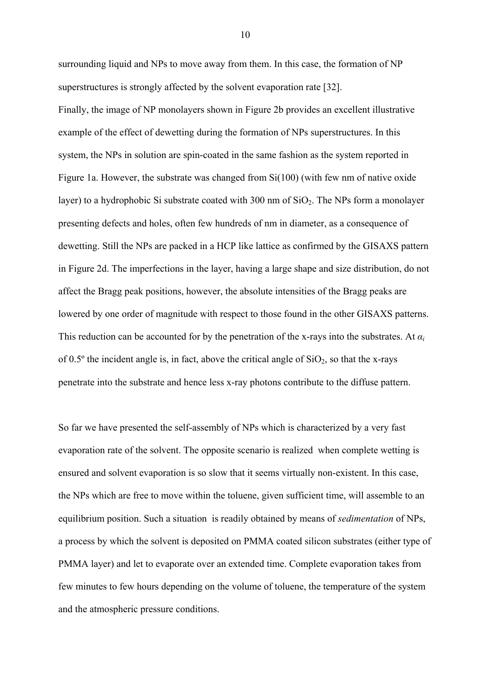surrounding liquid and NPs to move away from them. In this case, the formation of NP superstructures is strongly affected by the solvent evaporation rate [32].

Finally, the image of NP monolayers shown in Figure 2b provides an excellent illustrative example of the effect of dewetting during the formation of NPs superstructures. In this system, the NPs in solution are spin-coated in the same fashion as the system reported in Figure 1a. However, the substrate was changed from Si(100) (with few nm of native oxide layer) to a hydrophobic Si substrate coated with 300 nm of  $SiO<sub>2</sub>$ . The NPs form a monolayer presenting defects and holes, often few hundreds of nm in diameter, as a consequence of dewetting. Still the NPs are packed in a HCP like lattice as confirmed by the GISAXS pattern in Figure 2d. The imperfections in the layer, having a large shape and size distribution, do not affect the Bragg peak positions, however, the absolute intensities of the Bragg peaks are lowered by one order of magnitude with respect to those found in the other GISAXS patterns. This reduction can be accounted for by the penetration of the x-rays into the substrates. At  $\alpha_i$ of 0.5 $\degree$  the incident angle is, in fact, above the critical angle of  $SiO<sub>2</sub>$ , so that the x-rays penetrate into the substrate and hence less x-ray photons contribute to the diffuse pattern.

So far we have presented the self-assembly of NPs which is characterized by a very fast evaporation rate of the solvent. The opposite scenario is realized when complete wetting is ensured and solvent evaporation is so slow that it seems virtually non-existent. In this case, the NPs which are free to move within the toluene, given sufficient time, will assemble to an equilibrium position. Such a situation is readily obtained by means of *sedimentation* of NPs, a process by which the solvent is deposited on PMMA coated silicon substrates (either type of PMMA layer) and let to evaporate over an extended time. Complete evaporation takes from few minutes to few hours depending on the volume of toluene, the temperature of the system and the atmospheric pressure conditions.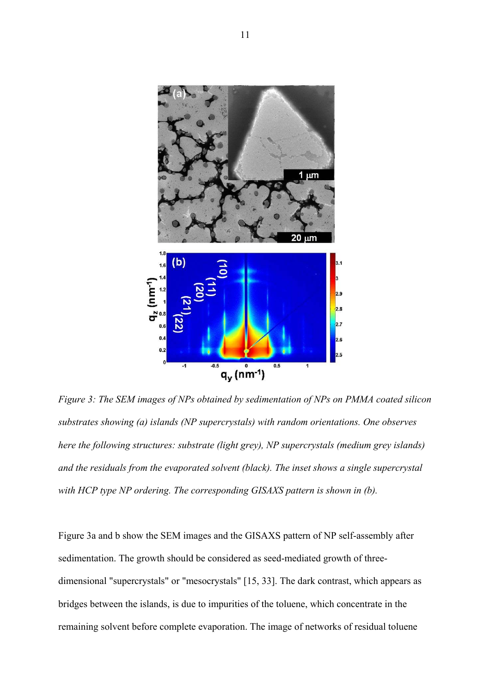

*Figure 3: The SEM images of NPs obtained by sedimentation of NPs on PMMA coated silicon substrates showing (a) islands (NP supercrystals) with random orientations. One observes here the following structures: substrate (light grey), NP supercrystals (medium grey islands) and the residuals from the evaporated solvent (black). The inset shows a single supercrystal with HCP type NP ordering. The corresponding GISAXS pattern is shown in (b).* 

Figure 3a and b show the SEM images and the GISAXS pattern of NP self-assembly after sedimentation. The growth should be considered as seed-mediated growth of threedimensional "supercrystals" or "mesocrystals" [15, 33]. The dark contrast, which appears as bridges between the islands, is due to impurities of the toluene, which concentrate in the remaining solvent before complete evaporation. The image of networks of residual toluene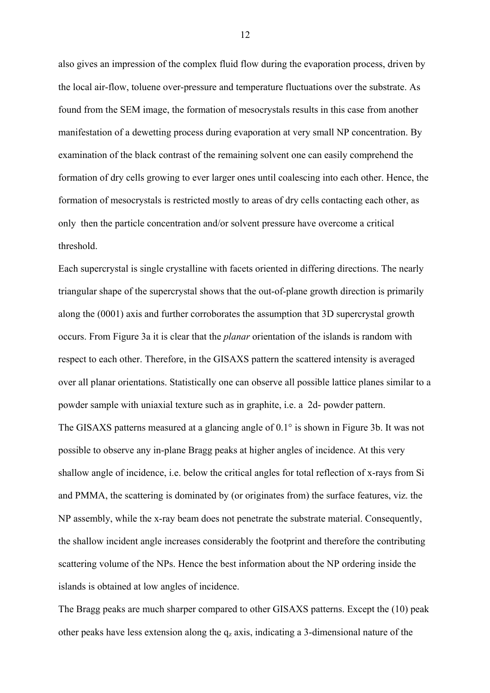also gives an impression of the complex fluid flow during the evaporation process, driven by the local air-flow, toluene over-pressure and temperature fluctuations over the substrate. As found from the SEM image, the formation of mesocrystals results in this case from another manifestation of a dewetting process during evaporation at very small NP concentration. By examination of the black contrast of the remaining solvent one can easily comprehend the formation of dry cells growing to ever larger ones until coalescing into each other. Hence, the formation of mesocrystals is restricted mostly to areas of dry cells contacting each other, as only then the particle concentration and/or solvent pressure have overcome a critical threshold.

Each supercrystal is single crystalline with facets oriented in differing directions. The nearly triangular shape of the supercrystal shows that the out-of-plane growth direction is primarily along the (0001) axis and further corroborates the assumption that 3D supercrystal growth occurs. From Figure 3a it is clear that the *planar* orientation of the islands is random with respect to each other. Therefore, in the GISAXS pattern the scattered intensity is averaged over all planar orientations. Statistically one can observe all possible lattice planes similar to a powder sample with uniaxial texture such as in graphite, i.e. a 2d- powder pattern. The GISAXS patterns measured at a glancing angle of 0.1° is shown in Figure 3b. It was not possible to observe any in-plane Bragg peaks at higher angles of incidence. At this very shallow angle of incidence, i.e. below the critical angles for total reflection of x-rays from Si and PMMA, the scattering is dominated by (or originates from) the surface features, viz. the NP assembly, while the x-ray beam does not penetrate the substrate material. Consequently, the shallow incident angle increases considerably the footprint and therefore the contributing scattering volume of the NPs. Hence the best information about the NP ordering inside the islands is obtained at low angles of incidence.

The Bragg peaks are much sharper compared to other GISAXS patterns. Except the (10) peak other peaks have less extension along the  $q_z$  axis, indicating a 3-dimensional nature of the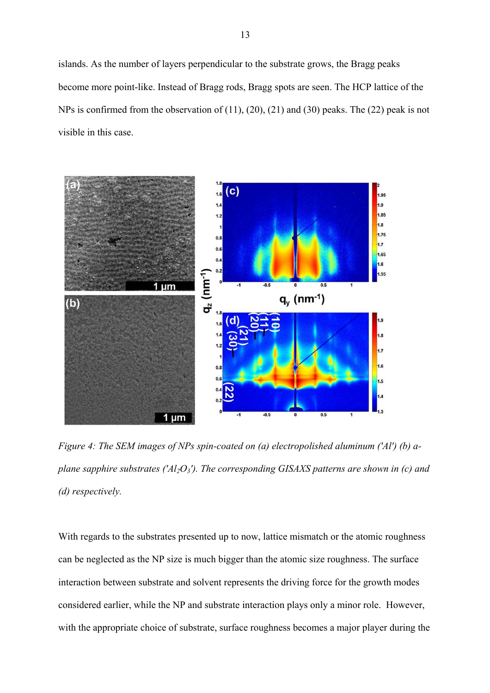islands. As the number of layers perpendicular to the substrate grows, the Bragg peaks become more point-like. Instead of Bragg rods, Bragg spots are seen. The HCP lattice of the NPs is confirmed from the observation of (11), (20), (21) and (30) peaks. The (22) peak is not visible in this case.



*Figure 4: The SEM images of NPs spin-coated on (a) electropolished aluminum ('Al') (b) aplane sapphire substrates ('Al2O3'). The corresponding GISAXS patterns are shown in (c) and (d) respectively.*

With regards to the substrates presented up to now, lattice mismatch or the atomic roughness can be neglected as the NP size is much bigger than the atomic size roughness. The surface interaction between substrate and solvent represents the driving force for the growth modes considered earlier, while the NP and substrate interaction plays only a minor role. However, with the appropriate choice of substrate, surface roughness becomes a major player during the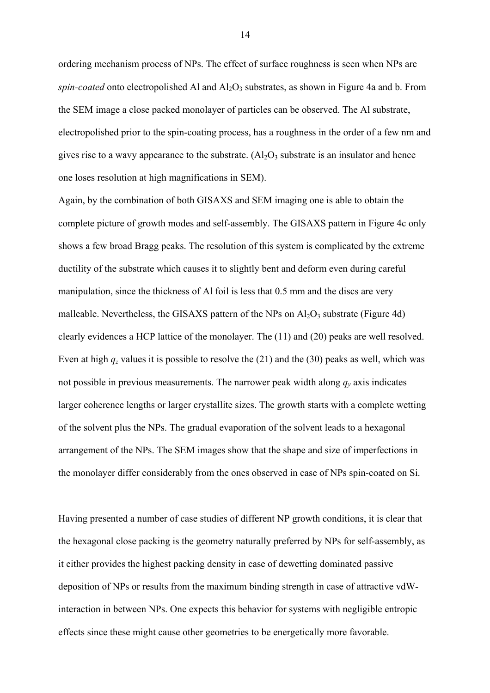ordering mechanism process of NPs. The effect of surface roughness is seen when NPs are *spin-coated* onto electropolished Al and  $A_1O_3$  substrates, as shown in Figure 4a and b. From the SEM image a close packed monolayer of particles can be observed. The Al substrate, electropolished prior to the spin-coating process, has a roughness in the order of a few nm and gives rise to a wavy appearance to the substrate.  $(A<sub>2</sub>O<sub>3</sub>$  substrate is an insulator and hence one loses resolution at high magnifications in SEM).

Again, by the combination of both GISAXS and SEM imaging one is able to obtain the complete picture of growth modes and self-assembly. The GISAXS pattern in Figure 4c only shows a few broad Bragg peaks. The resolution of this system is complicated by the extreme ductility of the substrate which causes it to slightly bent and deform even during careful manipulation, since the thickness of Al foil is less that 0.5 mm and the discs are very malleable. Nevertheless, the GISAXS pattern of the NPs on  $Al_2O_3$  substrate (Figure 4d) clearly evidences a HCP lattice of the monolayer. The (11) and (20) peaks are well resolved. Even at high  $q_z$  values it is possible to resolve the (21) and the (30) peaks as well, which was not possible in previous measurements. The narrower peak width along  $q<sub>y</sub>$  axis indicates larger coherence lengths or larger crystallite sizes. The growth starts with a complete wetting of the solvent plus the NPs. The gradual evaporation of the solvent leads to a hexagonal arrangement of the NPs. The SEM images show that the shape and size of imperfections in the monolayer differ considerably from the ones observed in case of NPs spin-coated on Si.

Having presented a number of case studies of different NP growth conditions, it is clear that the hexagonal close packing is the geometry naturally preferred by NPs for self-assembly, as it either provides the highest packing density in case of dewetting dominated passive deposition of NPs or results from the maximum binding strength in case of attractive vdWinteraction in between NPs. One expects this behavior for systems with negligible entropic effects since these might cause other geometries to be energetically more favorable.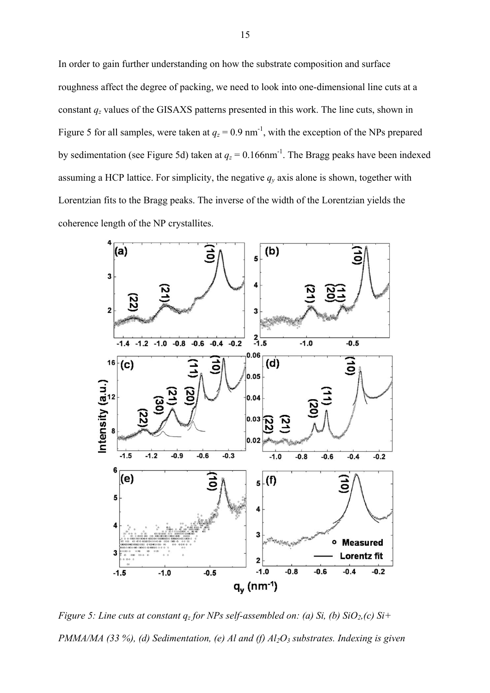In order to gain further understanding on how the substrate composition and surface roughness affect the degree of packing, we need to look into one-dimensional line cuts at a constant *qz* values of the GISAXS patterns presented in this work. The line cuts, shown in Figure 5 for all samples, were taken at  $q_z = 0.9$  nm<sup>-1</sup>, with the exception of the NPs prepared by sedimentation (see Figure 5d) taken at  $q_z = 0.166$  nm<sup>-1</sup>. The Bragg peaks have been indexed assuming a HCP lattice. For simplicity, the negative  $q<sub>y</sub>$  axis alone is shown, together with Lorentzian fits to the Bragg peaks. The inverse of the width of the Lorentzian yields the coherence length of the NP crystallites.



*Figure 5: Line cuts at constant qz for NPs self-assembled on: (a) Si, (b) SiO2,(c) Si+ PMMA/MA (33 %), (d) Sedimentation, (e) Al and (f) Al2O3 substrates. Indexing is given*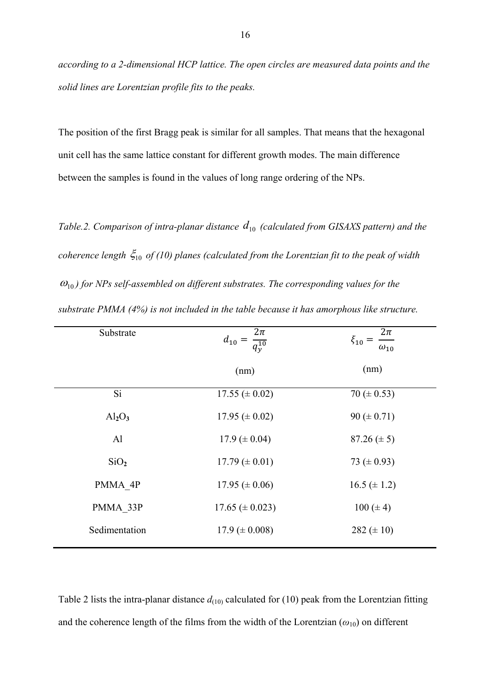*according to a 2-dimensional HCP lattice. The open circles are measured data points and the solid lines are Lorentzian profile fits to the peaks.* 

The position of the first Bragg peak is similar for all samples. That means that the hexagonal unit cell has the same lattice constant for different growth modes. The main difference between the samples is found in the values of long range ordering of the NPs.

*Table.2. Comparison of intra-planar distance*  $d_{10}$  *(calculated from GISAXS pattern) and the coherence length*  $\zeta_{10}$  *of (10) planes (calculated from the Lorentzian fit to the peak of width*  $\omega_{10}$ ) for NPs self-assembled on different substrates. The corresponding values for the *substrate PMMA (4%) is not included in the table because it has amorphous like structure.* 

| $\frac{2\pi}{q_y^{10}}$<br>$d_{10} =$ | $\overline{2}\pi$<br>$\xi_{10} =$<br>$\omega_{10}$ |
|---------------------------------------|----------------------------------------------------|
| (nm)                                  | (nm)                                               |
| $17.55 \ (\pm 0.02)$                  | 70 ( $\pm$ 0.53)                                   |
| 17.95 ( $\pm$ 0.02)                   | 90 ( $\pm$ 0.71)                                   |
| 17.9 ( $\pm$ 0.04)                    | $87.26 (\pm 5)$                                    |
| $17.79 \ (\pm 0.01)$                  | 73 ( $\pm$ 0.93)                                   |
| $17.95 \ (\pm 0.06)$                  | $16.5 (\pm 1.2)$                                   |
| $17.65 \ (\pm 0.023)$                 | $100 (\pm 4)$                                      |
| $17.9 \ (\pm 0.008)$                  | 282 $(\pm 10)$                                     |
|                                       |                                                    |

Table 2 lists the intra-planar distance  $d_{(10)}$  calculated for (10) peak from the Lorentzian fitting and the coherence length of the films from the width of the Lorentzian  $(\omega_{10})$  on different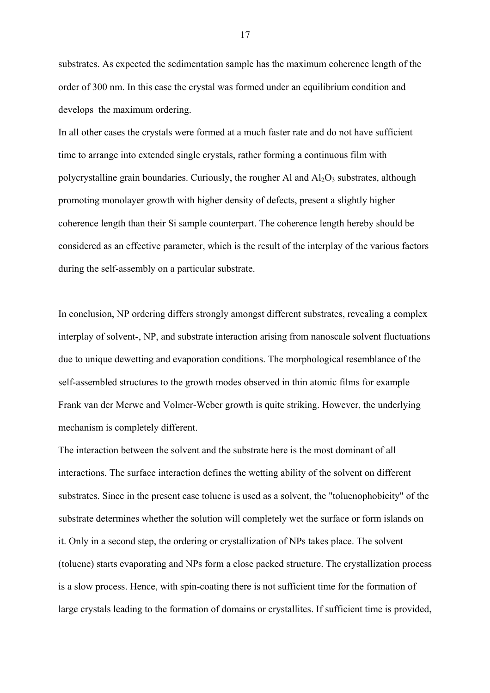substrates. As expected the sedimentation sample has the maximum coherence length of the order of 300 nm. In this case the crystal was formed under an equilibrium condition and develops the maximum ordering.

In all other cases the crystals were formed at a much faster rate and do not have sufficient time to arrange into extended single crystals, rather forming a continuous film with polycrystalline grain boundaries. Curiously, the rougher Al and  $Al_2O_3$  substrates, although promoting monolayer growth with higher density of defects, present a slightly higher coherence length than their Si sample counterpart. The coherence length hereby should be considered as an effective parameter, which is the result of the interplay of the various factors during the self-assembly on a particular substrate.

In conclusion, NP ordering differs strongly amongst different substrates, revealing a complex interplay of solvent-, NP, and substrate interaction arising from nanoscale solvent fluctuations due to unique dewetting and evaporation conditions. The morphological resemblance of the self-assembled structures to the growth modes observed in thin atomic films for example Frank van der Merwe and Volmer-Weber growth is quite striking. However, the underlying mechanism is completely different.

The interaction between the solvent and the substrate here is the most dominant of all interactions. The surface interaction defines the wetting ability of the solvent on different substrates. Since in the present case toluene is used as a solvent, the "toluenophobicity" of the substrate determines whether the solution will completely wet the surface or form islands on it. Only in a second step, the ordering or crystallization of NPs takes place. The solvent (toluene) starts evaporating and NPs form a close packed structure. The crystallization process is a slow process. Hence, with spin-coating there is not sufficient time for the formation of large crystals leading to the formation of domains or crystallites. If sufficient time is provided,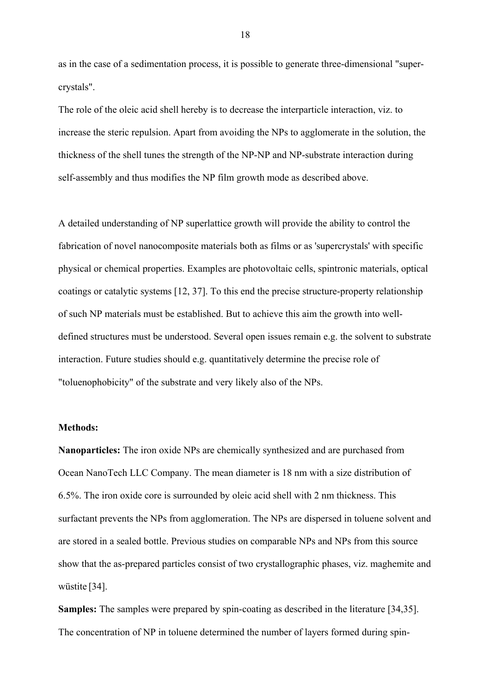as in the case of a sedimentation process, it is possible to generate three-dimensional "supercrystals".

The role of the oleic acid shell hereby is to decrease the interparticle interaction, viz. to increase the steric repulsion. Apart from avoiding the NPs to agglomerate in the solution, the thickness of the shell tunes the strength of the NP-NP and NP-substrate interaction during self-assembly and thus modifies the NP film growth mode as described above.

A detailed understanding of NP superlattice growth will provide the ability to control the fabrication of novel nanocomposite materials both as films or as 'supercrystals' with specific physical or chemical properties. Examples are photovoltaic cells, spintronic materials, optical coatings or catalytic systems [12, 37]. To this end the precise structure-property relationship of such NP materials must be established. But to achieve this aim the growth into welldefined structures must be understood. Several open issues remain e.g. the solvent to substrate interaction. Future studies should e.g. quantitatively determine the precise role of "toluenophobicity" of the substrate and very likely also of the NPs.

## **Methods:**

**Nanoparticles:** The iron oxide NPs are chemically synthesized and are purchased from Ocean NanoTech LLC Company. The mean diameter is 18 nm with a size distribution of 6.5%. The iron oxide core is surrounded by oleic acid shell with 2 nm thickness. This surfactant prevents the NPs from agglomeration. The NPs are dispersed in toluene solvent and are stored in a sealed bottle. Previous studies on comparable NPs and NPs from this source show that the as-prepared particles consist of two crystallographic phases, viz. maghemite and wüstite [34].

**Samples:** The samples were prepared by spin-coating as described in the literature [34,35]. The concentration of NP in toluene determined the number of layers formed during spin-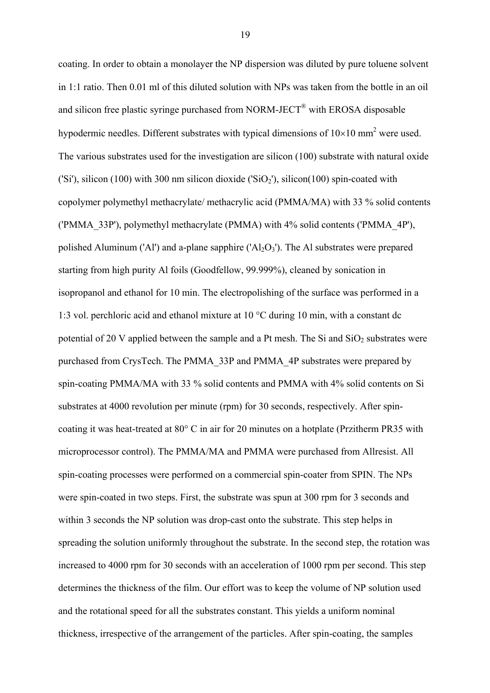coating. In order to obtain a monolayer the NP dispersion was diluted by pure toluene solvent in 1:1 ratio. Then 0.01 ml of this diluted solution with NPs was taken from the bottle in an oil and silicon free plastic syringe purchased from NORM-JECT<sup>®</sup> with EROSA disposable hypodermic needles. Different substrates with typical dimensions of  $10\times10$  mm<sup>2</sup> were used. The various substrates used for the investigation are silicon (100) substrate with natural oxide ('Si'), silicon (100) with 300 nm silicon dioxide ('SiO<sub>2</sub>'), silicon(100) spin-coated with copolymer polymethyl methacrylate/ methacrylic acid (PMMA/MA) with 33 % solid contents ('PMMA\_33P'), polymethyl methacrylate (PMMA) with 4% solid contents ('PMMA\_4P'), polished Aluminum ('Al') and a-plane sapphire (' $Al<sub>2</sub>O<sub>3</sub>$ '). The Al substrates were prepared starting from high purity Al foils (Goodfellow, 99.999%), cleaned by sonication in isopropanol and ethanol for 10 min. The electropolishing of the surface was performed in a 1:3 vol. perchloric acid and ethanol mixture at 10 °C during 10 min, with a constant dc potential of 20 V applied between the sample and a Pt mesh. The Si and  $SiO<sub>2</sub>$  substrates were purchased from CrysTech. The PMMA\_33P and PMMA\_4P substrates were prepared by spin-coating PMMA/MA with 33 % solid contents and PMMA with 4% solid contents on Si substrates at 4000 revolution per minute (rpm) for 30 seconds, respectively. After spincoating it was heat-treated at 80° C in air for 20 minutes on a hotplate (Przitherm PR35 with microprocessor control). The PMMA/MA and PMMA were purchased from Allresist. All spin-coating processes were performed on a commercial spin-coater from SPIN. The NPs were spin-coated in two steps. First, the substrate was spun at 300 rpm for 3 seconds and within 3 seconds the NP solution was drop-cast onto the substrate. This step helps in spreading the solution uniformly throughout the substrate. In the second step, the rotation was increased to 4000 rpm for 30 seconds with an acceleration of 1000 rpm per second. This step determines the thickness of the film. Our effort was to keep the volume of NP solution used and the rotational speed for all the substrates constant. This yields a uniform nominal thickness, irrespective of the arrangement of the particles. After spin-coating, the samples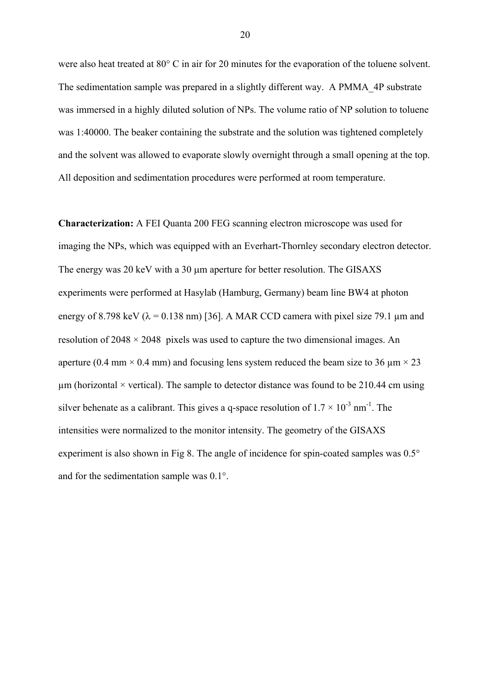were also heat treated at 80° C in air for 20 minutes for the evaporation of the toluene solvent. The sedimentation sample was prepared in a slightly different way. A PMMA\_4P substrate was immersed in a highly diluted solution of NPs. The volume ratio of NP solution to toluene was 1:40000. The beaker containing the substrate and the solution was tightened completely and the solvent was allowed to evaporate slowly overnight through a small opening at the top. All deposition and sedimentation procedures were performed at room temperature.

**Characterization:** A FEI Quanta 200 FEG scanning electron microscope was used for imaging the NPs, which was equipped with an Everhart-Thornley secondary electron detector. The energy was 20 keV with a 30 µm aperture for better resolution. The GISAXS experiments were performed at Hasylab (Hamburg, Germany) beam line BW4 at photon energy of 8.798 keV ( $\lambda$  = 0.138 nm) [36]. A MAR CCD camera with pixel size 79.1 µm and resolution of  $2048 \times 2048$  pixels was used to capture the two dimensional images. An aperture (0.4 mm  $\times$  0.4 mm) and focusing lens system reduced the beam size to 36  $\mu$ m  $\times$  23 um (horizontal  $\times$  vertical). The sample to detector distance was found to be 210.44 cm using silver behenate as a calibrant. This gives a q-space resolution of  $1.7 \times 10^{-3}$  nm<sup>-1</sup>. The intensities were normalized to the monitor intensity. The geometry of the GISAXS experiment is also shown in Fig 8. The angle of incidence for spin-coated samples was 0.5° and for the sedimentation sample was 0.1°.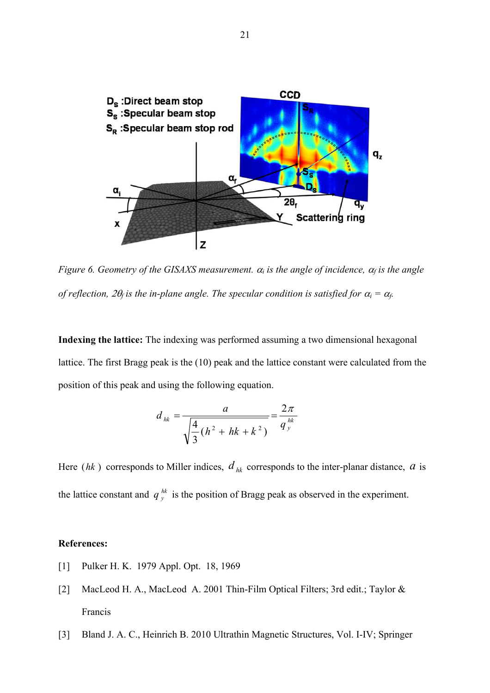

*Figure 6. Geometry of the GISAXS measurement.*  $\alpha_i$  *is the angle of incidence,*  $\alpha_f$  *is the angle of reflection,*  $2\theta_f$  *is the in-plane angle. The specular condition is satisfied for*  $\alpha_i = \alpha_f$ *.* 

**Indexing the lattice:** The indexing was performed assuming a two dimensional hexagonal lattice. The first Bragg peak is the (10) peak and the lattice constant were calculated from the position of this peak and using the following equation.

$$
d_{hk} = \frac{a}{\sqrt{\frac{4}{3}(h^2 + hk + k^2)}} = \frac{2\pi}{q_{y}^{hk}}
$$

Here (*hk*) corresponds to Miller indices,  $d_{hk}$  corresponds to the inter-planar distance,  $a$  is the lattice constant and  $q_y^{hk}$  is the position of Bragg peak as observed in the experiment.

## **References:**

- [1] Pulker H. K. 1979 Appl. Opt. 18, 1969
- [2] MacLeod H. A., MacLeod A. 2001 Thin-Film Optical Filters; 3rd edit.; Taylor & Francis
- [3] Bland J. A. C., Heinrich B. 2010 Ultrathin Magnetic Structures, Vol. I-IV; Springer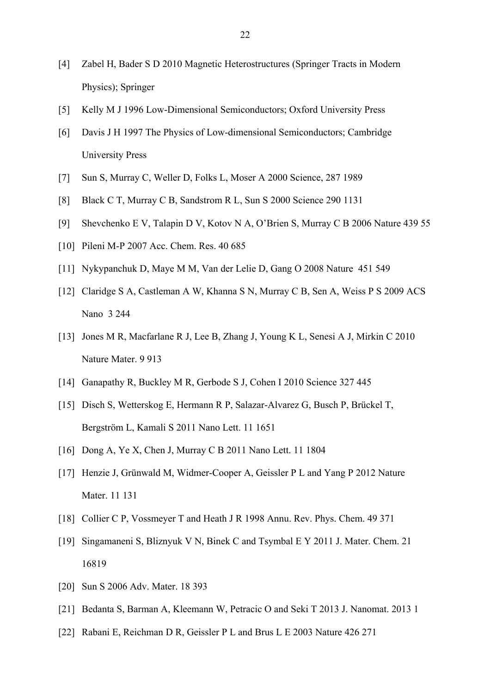- [4] Zabel H, Bader S D 2010 Magnetic Heterostructures (Springer Tracts in Modern Physics); Springer
- [5] Kelly M J 1996 Low-Dimensional Semiconductors; Oxford University Press
- [6] Davis J H 1997 The Physics of Low-dimensional Semiconductors; Cambridge University Press
- [7] Sun S, Murray C, Weller D, Folks L, Moser A 2000 Science, 287 1989
- [8] Black C T, Murray C B, Sandstrom R L, Sun S 2000 Science 290 1131
- [9] Shevchenko E V, Talapin D V, Kotov N A, O'Brien S, Murray C B 2006 Nature 439 55
- [10] Pileni M-P 2007 Acc. Chem. Res. 40 685
- [11] Nykypanchuk D, Maye M M, Van der Lelie D, Gang O 2008 Nature 451 549
- [12] Claridge S A, Castleman A W, Khanna S N, Murray C B, Sen A, Weiss P S 2009 ACS Nano 3 244
- [13] Jones M R, Macfarlane R J, Lee B, Zhang J, Young K L, Senesi A J, Mirkin C 2010 Nature Mater. 9 913
- [14] Ganapathy R, Buckley M R, Gerbode S J, Cohen I 2010 Science 327 445
- [15] Disch S, Wetterskog E, Hermann R P, Salazar-Alvarez G, Busch P, Brückel T, Bergström L, Kamali S 2011 Nano Lett. 11 1651
- [16] Dong A, Ye X, Chen J, Murray C B 2011 Nano Lett. 11 1804
- [17] Henzie J, Grünwald M, Widmer-Cooper A, Geissler P L and Yang P 2012 Nature Mater. 11 131
- [18] Collier C P, Vossmeyer T and Heath J R 1998 Annu. Rev. Phys. Chem. 49 371
- [19] Singamaneni S, Bliznyuk V N, Binek C and Tsymbal E Y 2011 J. Mater. Chem. 21 16819
- [20] Sun S 2006 Adv. Mater. 18 393
- [21] Bedanta S, Barman A, Kleemann W, Petracic O and Seki T 2013 J. Nanomat. 2013 1
- [22] Rabani E, Reichman D R, Geissler P L and Brus L E 2003 Nature 426 271